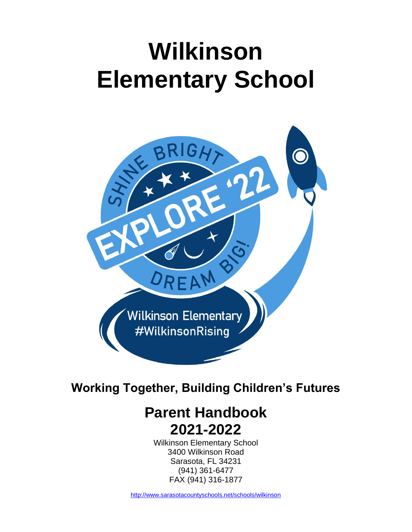# **Wilkinson Elementary School**



## **Working Together, Building Children's Futures**

# **Parent Handbook 2021-2022**

Wilkinson Elementary School 3400 Wilkinson Road Sarasota, FL 34231 (941) 361-6477 FAX (941) 316-1877

<http://www.sarasotacountyschools.net/schools/wilkinson>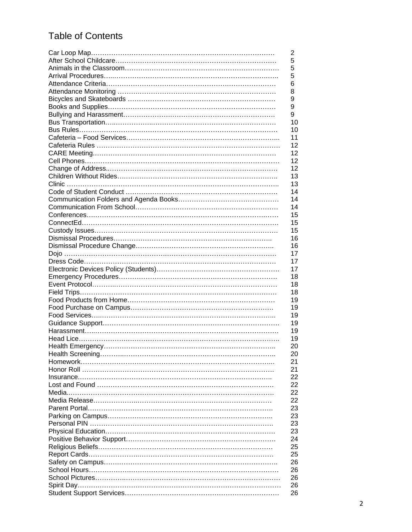### Table of Contents

| 2  |
|----|
| 5  |
| 5  |
| 5  |
| 6  |
| 8  |
| 9  |
| 9  |
| 9  |
| 10 |
| 10 |
| 11 |
| 12 |
| 12 |
| 12 |
| 12 |
| 13 |
| 13 |
| 14 |
| 14 |
| 14 |
| 15 |
| 15 |
| 15 |
| 16 |
| 16 |
| 17 |
| 17 |
| 17 |
| 18 |
| 18 |
| 18 |
| 19 |
| 19 |
| 19 |
| 19 |
| 19 |
| 19 |
| 20 |
| 20 |
| 21 |
| 21 |
| 22 |
| 22 |
| 22 |
| 22 |
| 23 |
| 23 |
| 23 |
| 23 |
| 24 |
| 25 |
| 25 |
| 26 |
| 26 |
| 26 |
| 26 |
| 26 |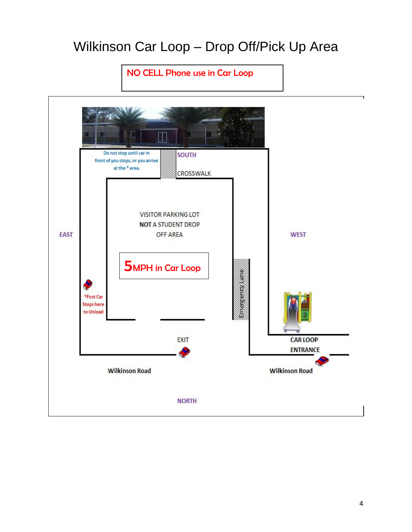# Wilkinson Car Loop – Drop Off/Pick Up Area

### NO CELL Phone use in Car Loop

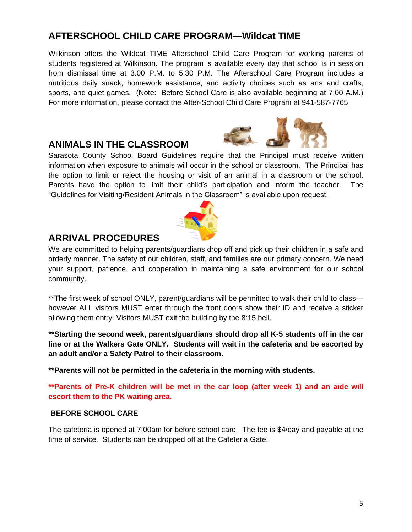5

### **AFTERSCHOOL CHILD CARE PROGRAM—Wildcat TIME**

Wilkinson offers the Wildcat TIME Afterschool Child Care Program for working parents of students registered at Wilkinson. The program is available every day that school is in session from dismissal time at 3:00 P.M. to 5:30 P.M. The Afterschool Care Program includes a nutritious daily snack, homework assistance, and activity choices such as arts and crafts, sports, and quiet games. (Note: Before School Care is also available beginning at 7:00 A.M.) For more information, please contact the After-School Child Care Program at 941-587-7765

#### **ANIMALS IN THE CLASSROOM**

Sarasota County School Board Guidelines require that the Principal must receive written information when exposure to animals will occur in the school or classroom. The Principal has the option to limit or reject the housing or visit of an animal in a classroom or the school. Parents have the option to limit their child's participation and inform the teacher. The "Guidelines for Visiting/Resident Animals in the Classroom" is available upon request.

#### **ARRIVAL PROCEDURES**

We are committed to helping parents/guardians drop off and pick up their children in a safe and orderly manner. The safety of our children, staff, and families are our primary concern. We need your support, patience, and cooperation in maintaining a safe environment for our school community.

\*\*The first week of school ONLY, parent/guardians will be permitted to walk their child to class however ALL visitors MUST enter through the front doors show their ID and receive a sticker allowing them entry. Visitors MUST exit the building by the 8:15 bell.

**\*\*Starting the second week, parents/guardians should drop all K-5 students off in the car line or at the Walkers Gate ONLY. Students will wait in the cafeteria and be escorted by an adult and/or a Safety Patrol to their classroom.** 

**\*\*Parents will not be permitted in the cafeteria in the morning with students.** 

**\*\*Parents of Pre-K children will be met in the car loop (after week 1) and an aide will escort them to the PK waiting area.** 

#### **BEFORE SCHOOL CARE**

The cafeteria is opened at 7:00am for before school care. The fee is \$4/day and payable at the time of service. Students can be dropped off at the Cafeteria Gate.



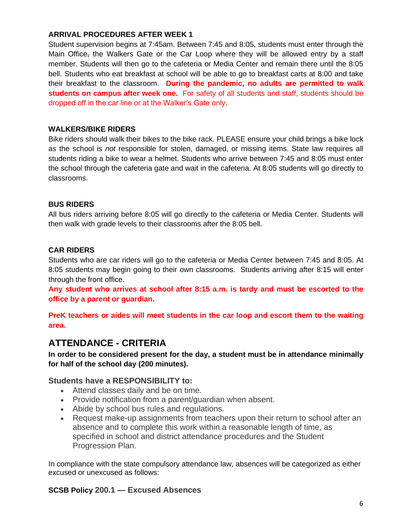#### **ARRIVAL PROCEDURES AFTER WEEK 1**

Student supervision begins at 7:45am. Between 7:45 and 8:05, students must enter through the Main Office, the Walkers Gate or the Car Loop where they will be allowed entry by a staff member. Students will then go to the cafeteria or Media Center and remain there until the 8:05 bell. Students who eat breakfast at school will be able to go to breakfast carts at 8:00 and take their breakfast to the classroom. **During the pandemic, no adults are permitted to walk students on campus after week one.** For safety of all students and staff, students should be dropped off in the car line or at the Walker's Gate only.

#### **WALKERS/BIKE RIDERS**

Bike riders should walk their bikes to the bike rack. PLEASE ensure your child brings a bike lock as the school is *not* responsible for stolen, damaged, or missing items. State law requires all students riding a bike to wear a helmet. Students who arrive between 7:45 and 8:05 must enter the school through the cafeteria gate and wait in the cafeteria. At 8:05 students will go directly to classrooms.

#### **BUS RIDERS**

All bus riders arriving before 8:05 will go directly to the cafeteria or Media Center. Students will then walk with grade levels to their classrooms after the 8:05 bell.

#### **CAR RIDERS**

Students who are car riders will go to the cafeteria or Media Center between 7:45 and 8:05. At 8:05 students may begin going to their own classrooms. Students arriving after 8:15 will enter through the front office.

**Any student who arrives at school after 8:15 a.m. is tardy and must be escorted to the office by a parent or guardian.**

**PreK teachers or aides will meet students in the car loop and escort them to the waiting area.** 

#### **ATTENDANCE - CRITERIA**

**In order to be considered present for the day, a student must be in attendance minimally for half of the school day (200 minutes).** 

#### **Students have a RESPONSIBILITY to:**

- Attend classes daily and be on time.
- Provide notification from a parent/guardian when absent.
- Abide by school bus rules and regulations.
- Request make-up assignments from teachers upon their return to school after an absence and to complete this work within a reasonable length of time, as specified in school and district attendance procedures and the Student Progression Plan.

In compliance with the state compulsory attendance law, absences will be categorized as either excused or unexcused as follows:

#### **SCSB Policy 200.1 — Excused Absences**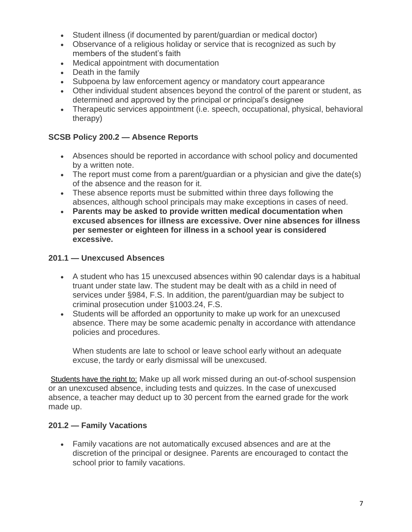- Student illness (if documented by parent/guardian or medical doctor)
- Observance of a religious holiday or service that is recognized as such by members of the student's faith
- Medical appointment with documentation
- Death in the family
- Subpoena by law enforcement agency or mandatory court appearance
- Other individual student absences beyond the control of the parent or student, as determined and approved by the principal or principal's designee
- Therapeutic services appointment (i.e. speech, occupational, physical, behavioral therapy)

#### **SCSB Policy 200.2 — Absence Reports**

- Absences should be reported in accordance with school policy and documented by a written note.
- The report must come from a parent/guardian or a physician and give the date(s) of the absence and the reason for it.
- These absence reports must be submitted within three days following the absences, although school principals may make exceptions in cases of need.
- **Parents may be asked to provide written medical documentation when excused absences for illness are excessive. Over nine absences for illness per semester or eighteen for illness in a school year is considered excessive.**

#### **201.1 — Unexcused Absences**

- A student who has 15 unexcused absences within 90 calendar days is a habitual truant under state law. The student may be dealt with as a child in need of services under §984, F.S. In addition, the parent/guardian may be subject to criminal prosecution under §1003.24, F.S.
- Students will be afforded an opportunity to make up work for an unexcused absence. There may be some academic penalty in accordance with attendance policies and procedures.

When students are late to school or leave school early without an adequate excuse, the tardy or early dismissal will be unexcused.

Students have the right to: Make up all work missed during an out-of-school suspension or an unexcused absence, including tests and quizzes. In the case of unexcused absence, a teacher may deduct up to 30 percent from the earned grade for the work made up.

#### **201.2 — Family Vacations**

• Family vacations are not automatically excused absences and are at the discretion of the principal or designee. Parents are encouraged to contact the school prior to family vacations.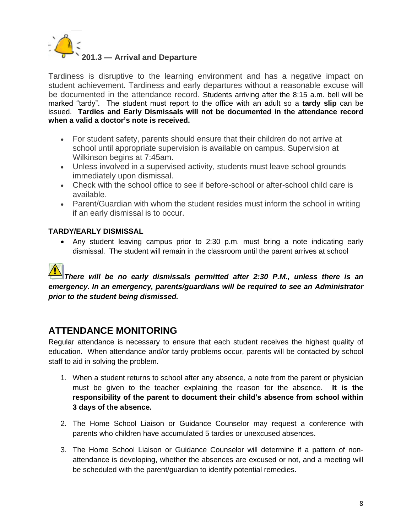

Tardiness is disruptive to the learning environment and has a negative impact on student achievement. Tardiness and early departures without a reasonable excuse will be documented in the attendance record. Students arriving after the 8:15 a.m. bell will be marked "tardy". The student must report to the office with an adult so a **tardy slip** can be issued. **Tardies and Early Dismissals will not be documented in the attendance record when a valid a doctor's note is received.** 

- For student safety, parents should ensure that their children do not arrive at school until appropriate supervision is available on campus. Supervision at Wilkinson begins at 7:45am.
- Unless involved in a supervised activity, students must leave school grounds immediately upon dismissal.
- Check with the school office to see if before-school or after-school child care is available.
- Parent/Guardian with whom the student resides must inform the school in writing if an early dismissal is to occur.

#### **TARDY/EARLY DISMISSAL**

• Any student leaving campus prior to 2:30 p.m. must bring a note indicating early dismissal. The student will remain in the classroom until the parent arrives at school

#### *[T](http://www.google.com/url?url=http://www.clker.com/clipart-8664.html&rct=j&frm=1&q=&esrc=s&sa=U&ei=TVqYU9vwM9GvsQSIw4B4&ved=0CBwQ9QEwAw&usg=AFQjCNFmC-hkx_fc8NTtNOGw-PmHG0vozA)here will be no early dismissals permitted after 2:30 P.M., unless there is an emergency. In an emergency, parents/guardians will be required to see an Administrator prior to the student being dismissed.*

#### **ATTENDANCE MONITORING**

Regular attendance is necessary to ensure that each student receives the highest quality of education. When attendance and/or tardy problems occur, parents will be contacted by school staff to aid in solving the problem.

- 1. When a student returns to school after any absence, a note from the parent or physician must be given to the teacher explaining the reason for the absence. **It is the responsibility of the parent to document their child's absence from school within 3 days of the absence.**
- 2. The Home School Liaison or Guidance Counselor may request a conference with parents who children have accumulated 5 tardies or unexcused absences.
- 3. The Home School Liaison or Guidance Counselor will determine if a pattern of nonattendance is developing, whether the absences are excused or not, and a meeting will be scheduled with the parent/guardian to identify potential remedies.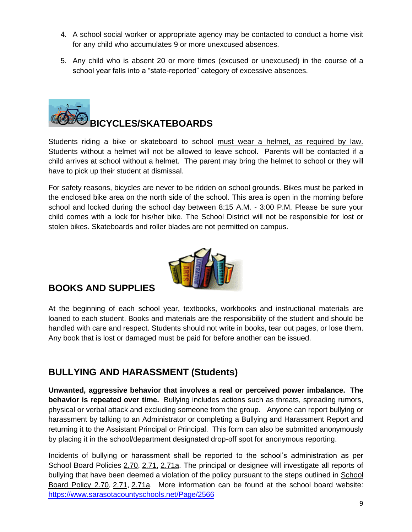- 4. A school social worker or appropriate agency may be contacted to conduct a home visit for any child who accumulates 9 or more unexcused absences.
- 5. Any child who is absent 20 or more times (excused or unexcused) in the course of a school year falls into a "state-reported" category of excessive absences.



Students riding a bike or skateboard to school must wear a helmet, as required by law. Students without a helmet will not be allowed to leave school. Parents will be contacted if a child arrives at school without a helmet. The parent may bring the helmet to school or they will have to pick up their student at dismissal.

For safety reasons, bicycles are never to be ridden on school grounds. Bikes must be parked in the enclosed bike area on the north side of the school. This area is open in the morning before school and locked during the school day between 8:15 A.M. - 3:00 P.M. Please be sure your child comes with a lock for his/her bike. The School District will not be responsible for lost or stolen bikes. Skateboards and roller blades are not permitted on campus.



#### **BOOKS AND SUPPLIES**

At the beginning of each school year, textbooks, workbooks and instructional materials are loaned to each student. Books and materials are the responsibility of the student and should be handled with care and respect. Students should not write in books, tear out pages, or lose them. Any book that is lost or damaged must be paid for before another can be issued.

### **BULLYING AND HARASSMENT (Students)**

**Unwanted, aggressive behavior that involves a real or perceived power imbalance. The behavior is repeated over time.** Bullying includes actions such as threats, spreading rumors, physical or verbal attack and excluding someone from the group. Anyone can report bullying or harassment by talking to an Administrator or completing a Bullying and Harassment Report and returning it to the Assistant Principal or Principal. This form can also be submitted anonymously by placing it in the school/department designated drop-off spot for anonymous reporting.

Incidents of bullying or harassment shall be reported to the school's administration as per School Board Policies [2.70,](https://www.sarasotacountyschools.net/site/handlers/filedownload.ashx?moduleinstanceid=3268&dataid=41397&FileName=Policy%202.70..pdf) [2.71,](https://www.sarasotacountyschools.net/site/handlers/filedownload.ashx?moduleinstanceid=3268&dataid=41398&FileName=Policy%202.71..pdf) [2.71a.](https://www.sarasotacountyschools.net/site/handlers/filedownload.ashx?moduleinstanceid=3268&dataid=68829&FileName=Procedure%202.71a.pdf) The principal or designee will investigate all reports of bullying that have been deemed a violation of the policy pursuant to the steps outlined in [School](https://www.sarasotacountyschools.net/site/handlers/filedownload.ashx?moduleinstanceid=3268&dataid=41397&FileName=2.70%20--%20Bullying%20and%20Harassment.pdf)  [Board Policy 2.70,](https://www.sarasotacountyschools.net/site/handlers/filedownload.ashx?moduleinstanceid=3268&dataid=41397&FileName=2.70%20--%20Bullying%20and%20Harassment.pdf) [2.71,](https://www.sarasotacountyschools.net/site/handlers/filedownload.ashx?moduleinstanceid=3268&dataid=41398&FileName=Policy%202.71..pdf) [2.71a.](https://www.sarasotacountyschools.net/site/handlers/filedownload.ashx?moduleinstanceid=3268&dataid=68829&FileName=Procedure%202.71a.pdf) More information can be found at the school board website: <https://www.sarasotacountyschools.net/Page/2566>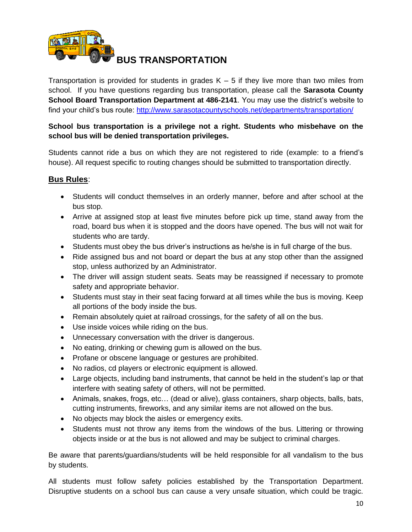

**BUS TRANSPORTATION** 

Transportation is provided for students in grades  $K - 5$  if they live more than two miles from school. If you have questions regarding bus transportation, please call the **Sarasota County School Board Transportation Department at 486-2141**. You may use the district's website to find your child's bus route:<http://www.sarasotacountyschools.net/departments/transportation/>

#### **School bus transportation is a privilege not a right. Students who misbehave on the school bus will be denied transportation privileges.**

Students cannot ride a bus on which they are not registered to ride (example: to a friend's house). All request specific to routing changes should be submitted to transportation directly.

#### **Bus Rules**:

- Students will conduct themselves in an orderly manner, before and after school at the bus stop.
- Arrive at assigned stop at least five minutes before pick up time, stand away from the road, board bus when it is stopped and the doors have opened. The bus will not wait for students who are tardy.
- Students must obey the bus driver's instructions as he/she is in full charge of the bus.
- Ride assigned bus and not board or depart the bus at any stop other than the assigned stop, unless authorized by an Administrator.
- The driver will assign student seats. Seats may be reassigned if necessary to promote safety and appropriate behavior.
- Students must stay in their seat facing forward at all times while the bus is moving. Keep all portions of the body inside the bus.
- Remain absolutely quiet at railroad crossings, for the safety of all on the bus.
- Use inside voices while riding on the bus.
- Unnecessary conversation with the driver is dangerous.
- No eating, drinking or chewing gum is allowed on the bus.
- Profane or obscene language or gestures are prohibited.
- No radios, cd players or electronic equipment is allowed.
- Large objects, including band instruments, that cannot be held in the student's lap or that interfere with seating safety of others, will not be permitted.
- Animals, snakes, frogs, etc… (dead or alive), glass containers, sharp objects, balls, bats, cutting instruments, fireworks, and any similar items are not allowed on the bus.
- No objects may block the aisles or emergency exits.
- Students must not throw any items from the windows of the bus. Littering or throwing objects inside or at the bus is not allowed and may be subject to criminal charges.

Be aware that parents/guardians/students will be held responsible for all vandalism to the bus by students.

All students must follow safety policies established by the Transportation Department. Disruptive students on a school bus can cause a very unsafe situation, which could be tragic.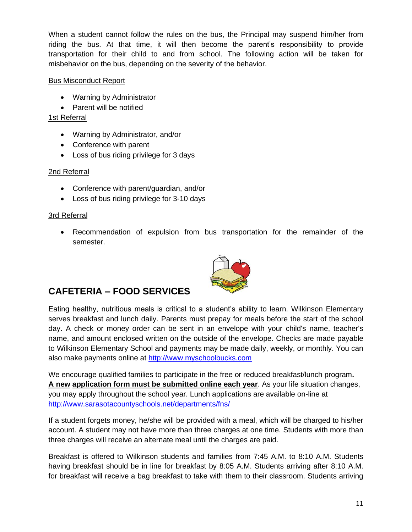When a student cannot follow the rules on the bus, the Principal may suspend him/her from riding the bus. At that time, it will then become the parent's responsibility to provide transportation for their child to and from school. The following action will be taken for misbehavior on the bus, depending on the severity of the behavior.

#### Bus Misconduct Report

- Warning by Administrator
- Parent will be notified

#### 1st Referral

- Warning by Administrator, and/or
- Conference with parent
- Loss of bus riding privilege for 3 days

#### 2nd Referral

- Conference with parent/guardian, and/or
- Loss of bus riding privilege for 3-10 days

#### 3rd Referral

• Recommendation of expulsion from bus transportation for the remainder of the semester.



### **CAFETERIA – FOOD SERVICES**

Eating healthy, nutritious meals is critical to a student's ability to learn. Wilkinson Elementary serves breakfast and lunch daily. Parents must prepay for meals before the start of the school day. A check or money order can be sent in an envelope with your child's name, teacher's name, and amount enclosed written on the outside of the envelope. Checks are made payable to Wilkinson Elementary School and payments may be made daily, weekly, or monthly. You can also make payments online at http://www.myschoolbucks.com

We encourage qualified families to participate in the free or reduced breakfast/lunch program**. A new application form must be submitted online each year**. As your life situation changes, you may apply throughout the school year. Lunch applications are available on-line at http://www.sarasotacountyschools.net/departments/fns/

If a student forgets money, he/she will be provided with a meal, which will be charged to his/her account. A student may not have more than three charges at one time. Students with more than three charges will receive an alternate meal until the charges are paid.

Breakfast is offered to Wilkinson students and families from 7:45 A.M. to 8:10 A.M. Students having breakfast should be in line for breakfast by 8:05 A.M. Students arriving after 8:10 A.M. for breakfast will receive a bag breakfast to take with them to their classroom. Students arriving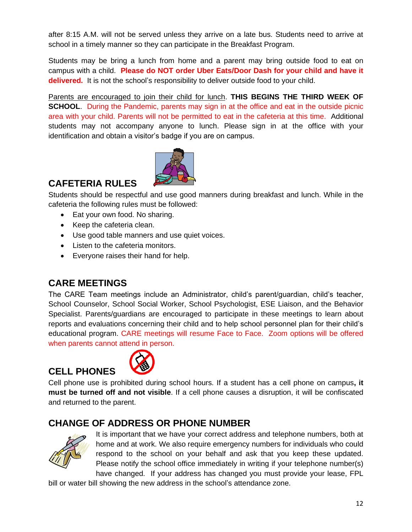after 8:15 A.M. will not be served unless they arrive on a late bus. Students need to arrive at school in a timely manner so they can participate in the Breakfast Program.

Students may be bring a lunch from home and a parent may bring outside food to eat on campus with a child. **Please do NOT order Uber Eats/Door Dash for your child and have it delivered.** It is not the school's responsibility to deliver outside food to your child.

Parents are encouraged to join their child for lunch. **THIS BEGINS THE THIRD WEEK OF SCHOOL.** During the Pandemic, parents may sign in at the office and eat in the outside picnic area with your child. Parents will not be permitted to eat in the cafeteria at this time. Additional students may not accompany anyone to lunch. Please sign in at the office with your identification and obtain a visitor's badge if you are on campus.



### **CAFETERIA RULES**

Students should be respectful and use good manners during breakfast and lunch. While in the cafeteria the following rules must be followed:

- Eat your own food. No sharing.
- Keep the cafeteria clean.
- Use good table manners and use quiet voices.
- Listen to the cafeteria monitors.
- Everyone raises their hand for help.

#### **CARE MEETINGS**

The CARE Team meetings include an Administrator, child's parent/guardian, child's teacher, School Counselor, School Social Worker, School Psychologist, ESE Liaison, and the Behavior Specialist. Parents/guardians are encouraged to participate in these meetings to learn about reports and evaluations concerning their child and to help school personnel plan for their child's educational program. CARE meetings will resume Face to Face. Zoom options will be offered when parents cannot attend in person.

### **CELL PHONES**



Cell phone use is prohibited during school hours. If a student has a cell phone on campus**, it must be turned off and not visible**. If a cell phone causes a disruption, it will be confiscated and returned to the parent.

#### **CHANGE OF ADDRESS OR PHONE NUMBER**



It is important that we have your correct address and telephone numbers, both at home and at work. We also require emergency numbers for individuals who could respond to the school on your behalf and ask that you keep these updated. Please notify the school office immediately in writing if your telephone number(s) have changed. If your address has changed you must provide your lease, FPL

bill or water bill showing the new address in the school's attendance zone.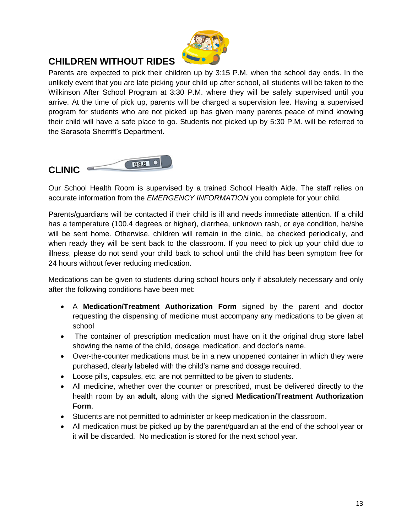

### **CHILDREN WITHOUT RIDES**

Parents are expected to pick their children up by 3:15 P.M. when the school day ends. In the unlikely event that you are late picking your child up after school, all students will be taken to the Wilkinson After School Program at 3:30 P.M. where they will be safely supervised until you arrive. At the time of pick up, parents will be charged a supervision fee. Having a supervised program for students who are not picked up has given many parents peace of mind knowing their child will have a safe place to go. Students not picked up by 5:30 P.M. will be referred to the Sarasota Sherriff's Department.



Our School Health Room is supervised by a trained School Health Aide. The staff relies on accurate information from the *EMERGENCY INFORMATION* you complete for your child.

Parents/guardians will be contacted if their child is ill and needs immediate attention. If a child has a temperature (100.4 degrees or higher), diarrhea, unknown rash, or eye condition, he/she will be sent home. Otherwise, children will remain in the clinic, be checked periodically, and when ready they will be sent back to the classroom. If you need to pick up your child due to illness, please do not send your child back to school until the child has been symptom free for 24 hours without fever reducing medication.

Medications can be given to students during school hours only if absolutely necessary and only after the following conditions have been met:

- A **Medication/Treatment Authorization Form** signed by the parent and doctor requesting the dispensing of medicine must accompany any medications to be given at school
- The container of prescription medication must have on it the original drug store label showing the name of the child, dosage, medication, and doctor's name.
- Over-the-counter medications must be in a new unopened container in which they were purchased, clearly labeled with the child's name and dosage required.
- Loose pills, capsules, etc. are not permitted to be given to students.
- All medicine, whether over the counter or prescribed, must be delivered directly to the health room by an **adult**, along with the signed **Medication/Treatment Authorization Form**.
- Students are not permitted to administer or keep medication in the classroom.
- All medication must be picked up by the parent/guardian at the end of the school year or it will be discarded. No medication is stored for the next school year.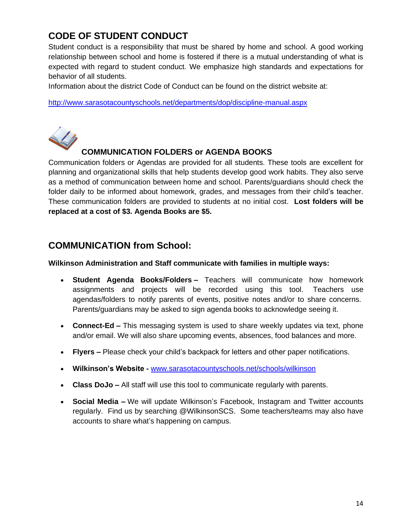### **CODE OF STUDENT CONDUCT**

Student conduct is a responsibility that must be shared by home and school. A good working relationship between school and home is fostered if there is a mutual understanding of what is expected with regard to student conduct. We emphasize high standards and expectations for behavior of all students.

Information about the district Code of Conduct can be found on the district website at:

<http://www.sarasotacountyschools.net/departments/dop/discipline-manual.aspx>



#### **COMMUNICATION FOLDERS or AGENDA BOOKS**

Communication folders or Agendas are provided for all students. These tools are excellent for planning and organizational skills that help students develop good work habits. They also serve as a method of communication between home and school. Parents/guardians should check the folder daily to be informed about homework, grades, and messages from their child's teacher. These communication folders are provided to students at no initial cost. **Lost folders will be replaced at a cost of \$3. Agenda Books are \$5.** 

#### **COMMUNICATION from School:**

#### **Wilkinson Administration and Staff communicate with families in multiple ways:**

- **Student Agenda Books/Folders –** Teachers will communicate how homework assignments and projects will be recorded using this tool. Teachers use agendas/folders to notify parents of events, positive notes and/or to share concerns. Parents/guardians may be asked to sign agenda books to acknowledge seeing it.
- **Connect-Ed –** This messaging system is used to share weekly updates via text, phone and/or email. We will also share upcoming events, absences, food balances and more.
- **Flyers –** Please check your child's backpack for letters and other paper notifications.
- **Wilkinson's Website -** [www.sarasotacountyschools.net/schools/wilkinson](http://www.sarasotacountyschools.net/schools/wilkinson)
- **Class DoJo –** All staff will use this tool to communicate regularly with parents.
- **Social Media –** We will update Wilkinson's Facebook, Instagram and Twitter accounts regularly. Find us by searching @WilkinsonSCS. Some teachers/teams may also have accounts to share what's happening on campus.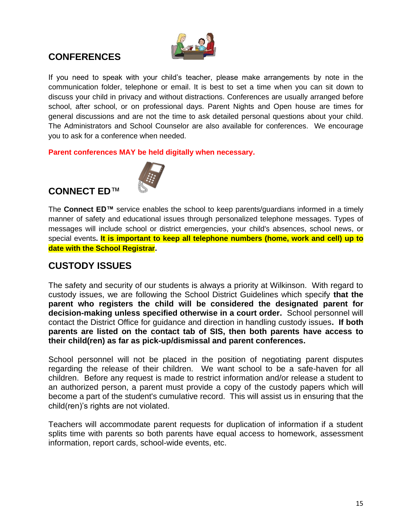

### **CONFERENCES**

If you need to speak with your child's teacher, please make arrangements by note in the communication folder, telephone or email. It is best to set a time when you can sit down to discuss your child in privacy and without distractions. Conferences are usually arranged before school, after school, or on professional days. Parent Nights and Open house are times for general discussions and are not the time to ask detailed personal questions about your child. The Administrators and School Counselor are also available for conferences. We encourage you to ask for a conference when needed.

**Parent conferences MAY be held digitally when necessary.** 

### **CONNECT ED**™



The **Connect ED™** service enables the school to keep parents/guardians informed in a timely manner of safety and educational issues through personalized telephone messages. Types of messages will include school or district emergencies, your child's absences, school news, or special events**. It is important to keep all telephone numbers (home, work and cell) up to date with the School Registrar.**

#### **CUSTODY ISSUES**

The safety and security of our students is always a priority at Wilkinson. With regard to custody issues, we are following the School District Guidelines which specify **that the parent who registers the child will be considered the designated parent for decision-making unless specified otherwise in a court order.** School personnel will contact the District Office for guidance and direction in handling custody issues**. If both parents are listed on the contact tab of SIS, then both parents have access to their child(ren) as far as pick-up/dismissal and parent conferences.**

School personnel will not be placed in the position of negotiating parent disputes regarding the release of their children. We want school to be a safe-haven for all children. Before any request is made to restrict information and/or release a student to an authorized person, a parent must provide a copy of the custody papers which will become a part of the student's cumulative record. This will assist us in ensuring that the child(ren)'s rights are not violated.

Teachers will accommodate parent requests for duplication of information if a student splits time with parents so both parents have equal access to homework, assessment information, report cards, school-wide events, etc.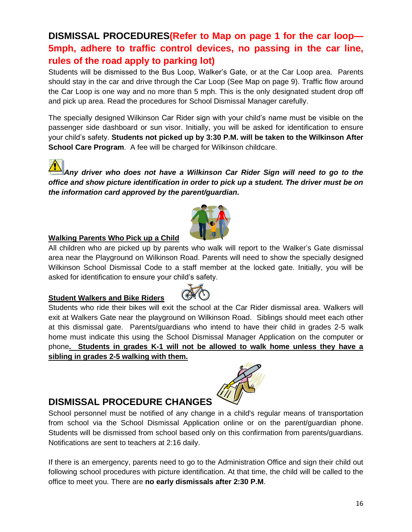16

### **DISMISSAL PROCEDURES(Refer to Map on page 1 for the car loop— 5mph, adhere to traffic control devices, no passing in the car line, rules of the road apply to parking lot)**

Students will be dismissed to the Bus Loop, Walker's Gate, or at the Car Loop area. Parents should stay in the car and drive through the Car Loop (See Map on page 9). Traffic flow around the Car Loop is one way and no more than 5 mph. This is the only designated student drop off and pick up area. Read the procedures for School Dismissal Manager carefully.

The specially designed Wilkinson Car Rider sign with your child's name must be visible on the passenger side dashboard or sun visor. Initially, you will be asked for identification to ensure your child's safety. **Students not picked up by 3:30 P.M. will be taken to the Wilkinson After School Care Program.** A fee will be charged for Wilkinson childcare.

*[A](http://www.google.com/url?url=http://www.clker.com/clipart-8664.html&rct=j&frm=1&q=&esrc=s&sa=U&ei=TVqYU9vwM9GvsQSIw4B4&ved=0CBwQ9QEwAw&usg=AFQjCNFmC-hkx_fc8NTtNOGw-PmHG0vozA)ny driver who does not have a Wilkinson Car Rider Sign will need to go to the office and show picture identification in order to pick up a student. The driver must be on the information card approved by the parent/guardian.*

#### **Walking Parents Who Pick up a Child**

All children who are picked up by parents who walk will report to the Walker's Gate dismissal area near the Playground on Wilkinson Road. Parents will need to show the specially designed Wilkinson School Dismissal Code to a staff member at the locked gate. Initially, you will be asked for identification to ensure your child's safety.

#### **Student Walkers and Bike Riders**

Students who ride their bikes will exit the school at the Car Rider dismissal area. Walkers will exit at Walkers Gate near the playground on Wilkinson Road. Siblings should meet each other at this dismissal gate. Parents/guardians who intend to have their child in grades 2-5 walk home must indicate this using the School Dismissal Manager Application on the computer or phone**. Students in grades K-1 will not be allowed to walk home unless they have a sibling in grades 2-5 walking with them.**

### **DISMISSAL PROCEDURE CHANGES**

School personnel must be notified of any change in a child's regular means of transportation from school via the School Dismissal Application online or on the parent/guardian phone. Students will be dismissed from school based only on this confirmation from parents/guardians. Notifications are sent to teachers at 2:16 daily.

If there is an emergency, parents need to go to the Administration Office and sign their child out following school procedures with picture identification. At that time, the child will be called to the office to meet you. There are **no early dismissals after 2:30 P.M**.



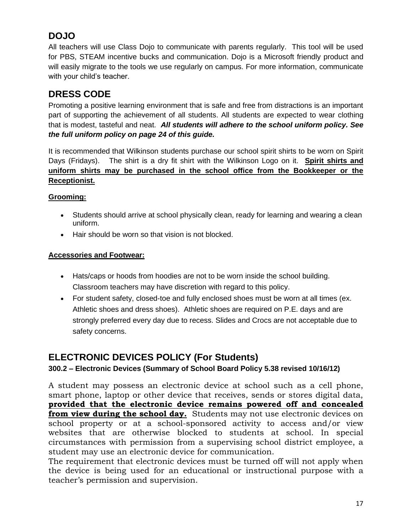### **DOJO**

All teachers will use Class Dojo to communicate with parents regularly. This tool will be used for PBS, STEAM incentive bucks and communication. Dojo is a Microsoft friendly product and will easily migrate to the tools we use regularly on campus. For more information, communicate with your child's teacher.

### **DRESS CODE**

Promoting a positive learning environment that is safe and free from distractions is an important part of supporting the achievement of all students. All students are expected to wear clothing that is modest, tasteful and neat. *All students will adhere to the school uniform policy. See the full uniform policy on page 24 of this guide.* 

It is recommended that Wilkinson students purchase our school spirit shirts to be worn on Spirit Days (Fridays). The shirt is a dry fit shirt with the Wilkinson Logo on it. **Spirit shirts and uniform shirts may be purchased in the school office from the Bookkeeper or the Receptionist.** 

#### **Grooming:**

- Students should arrive at school physically clean, ready for learning and wearing a clean uniform.
- Hair should be worn so that vision is not blocked.

#### **Accessories and Footwear:**

- Hats/caps or hoods from hoodies are not to be worn inside the school building. Classroom teachers may have discretion with regard to this policy.
- For student safety, closed-toe and fully enclosed shoes must be worn at all times (ex. Athletic shoes and dress shoes). Athletic shoes are required on P.E. days and are strongly preferred every day due to recess. Slides and Crocs are not acceptable due to safety concerns.

### **ELECTRONIC DEVICES POLICY (For Students)**

#### **300.2 – Electronic Devices (Summary of School Board Policy 5.38 revised 10/16/12)**

A student may possess an electronic device at school such as a cell phone, smart phone, laptop or other device that receives, sends or stores digital data, **provided that the electronic device remains powered off and concealed from view during the school day.** Students may not use electronic devices on school property or at a school-sponsored activity to access and/or view websites that are otherwise blocked to students at school. In special circumstances with permission from a supervising school district employee, a student may use an electronic device for communication.

The requirement that electronic devices must be turned off will not apply when the device is being used for an educational or instructional purpose with a teacher's permission and supervision.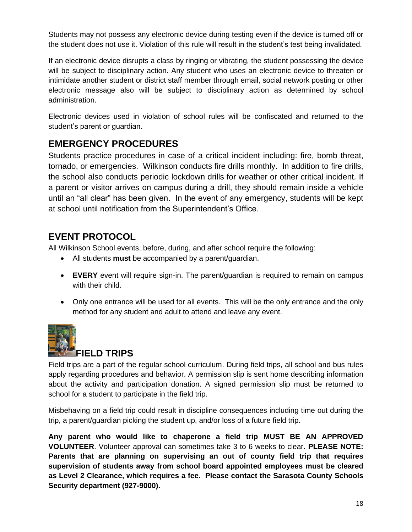Students may not possess any electronic device during testing even if the device is turned off or the student does not use it. Violation of this rule will result in the student's test being invalidated.

If an electronic device disrupts a class by ringing or vibrating, the student possessing the device will be subject to disciplinary action. Any student who uses an electronic device to threaten or intimidate another student or district staff member through email, social network posting or other electronic message also will be subject to disciplinary action as determined by school administration.

Electronic devices used in violation of school rules will be confiscated and returned to the student's parent or guardian.

### **EMERGENCY PROCEDURES**

Students practice procedures in case of a critical incident including: fire, bomb threat, tornado, or emergencies. Wilkinson conducts fire drills monthly. In addition to fire drills, the school also conducts periodic lockdown drills for weather or other critical incident. If a parent or visitor arrives on campus during a drill, they should remain inside a vehicle until an "all clear" has been given. In the event of any emergency, students will be kept at school until notification from the Superintendent's Office.

### **EVENT PROTOCOL**

All Wilkinson School events, before, during, and after school require the following:

- All students **must** be accompanied by a parent/guardian.
- **EVERY** event will require sign-in. The parent/guardian is required to remain on campus with their child.
- Only one entrance will be used for all events. This will be the only entrance and the only method for any student and adult to attend and leave any event.



#### **FIELD TRIPS**

Field trips are a part of the regular school curriculum. During field trips, all school and bus rules apply regarding procedures and behavior. A permission slip is sent home describing information about the activity and participation donation. A signed permission slip must be returned to school for a student to participate in the field trip.

Misbehaving on a field trip could result in discipline consequences including time out during the trip, a parent/guardian picking the student up, and/or loss of a future field trip.

**Any parent who would like to chaperone a field trip MUST BE AN APPROVED VOLUNTEER**. Volunteer approval can sometimes take 3 to 6 weeks to clear. **PLEASE NOTE: Parents that are planning on supervising an out of county field trip that requires supervision of students away from school board appointed employees must be cleared as Level 2 Clearance, which requires a fee. Please contact the Sarasota County Schools Security department (927-9000).**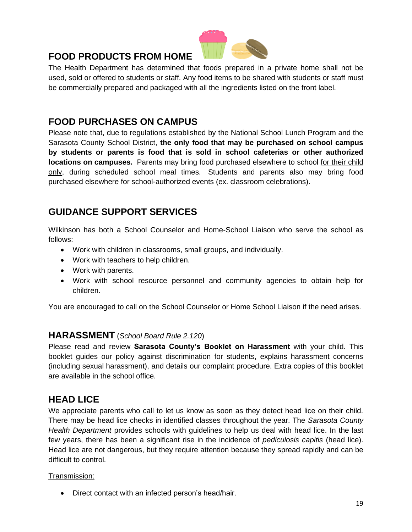### **FOOD PRODUCTS FROM HOME**



The Health Department has determined that foods prepared in a private home shall not be used, sold or offered to students or staff. Any food items to be shared with students or staff must be commercially prepared and packaged with all the ingredients listed on the front label.

#### **FOOD PURCHASES ON CAMPUS**

Please note that, due to regulations established by the National School Lunch Program and the Sarasota County School District, **the only food that may be purchased on school campus by students or parents is food that is sold in school cafeterias or other authorized locations on campuses.** Parents may bring food purchased elsewhere to school for their child only, during scheduled school meal times. Students and parents also may bring food purchased elsewhere for school-authorized events (ex. classroom celebrations).

### **GUIDANCE SUPPORT SERVICES**

Wilkinson has both a School Counselor and Home-School Liaison who serve the school as follows:

- Work with children in classrooms, small groups, and individually.
- Work with teachers to help children.
- Work with parents.
- Work with school resource personnel and community agencies to obtain help for children.

You are encouraged to call on the School Counselor or Home School Liaison if the need arises.

#### **HARASSMENT** (*School Board Rule 2.120*)

Please read and review **Sarasota County's Booklet on Harassment** with your child. This booklet guides our policy against discrimination for students, explains harassment concerns (including sexual harassment), and details our complaint procedure. Extra copies of this booklet are available in the school office.

### **HEAD LICE**

We appreciate parents who call to let us know as soon as they detect head lice on their child. There may be head lice checks in identified classes throughout the year. The *Sarasota County Health Department* provides schools with guidelines to help us deal with head lice. In the last few years, there has been a significant rise in the incidence of *pediculosis capitis* (head lice). Head lice are not dangerous, but they require attention because they spread rapidly and can be difficult to control.

#### Transmission:

• Direct contact with an infected person's head/hair.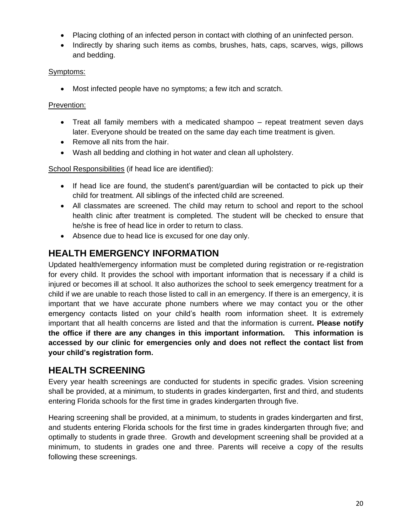- Placing clothing of an infected person in contact with clothing of an uninfected person.
- Indirectly by sharing such items as combs, brushes, hats, caps, scarves, wigs, pillows and bedding.

#### Symptoms:

• Most infected people have no symptoms; a few itch and scratch.

#### Prevention:

- Treat all family members with a medicated shampoo repeat treatment seven days later. Everyone should be treated on the same day each time treatment is given.
- Remove all nits from the hair.
- Wash all bedding and clothing in hot water and clean all upholstery.

School Responsibilities (if head lice are identified):

- If head lice are found, the student's parent/guardian will be contacted to pick up their child for treatment. All siblings of the infected child are screened.
- All classmates are screened. The child may return to school and report to the school health clinic after treatment is completed. The student will be checked to ensure that he/she is free of head lice in order to return to class.
- Absence due to head lice is excused for one day only.

### **HEALTH EMERGENCY INFORMATION**

Updated health/emergency information must be completed during registration or re-registration for every child. It provides the school with important information that is necessary if a child is injured or becomes ill at school. It also authorizes the school to seek emergency treatment for a child if we are unable to reach those listed to call in an emergency. If there is an emergency, it is important that we have accurate phone numbers where we may contact you or the other emergency contacts listed on your child's health room information sheet. It is extremely important that all health concerns are listed and that the information is current**. Please notify the office if there are any changes in this important information. This information is accessed by our clinic for emergencies only and does not reflect the contact list from your child's registration form.**

### **HEALTH SCREENING**

Every year health screenings are conducted for students in specific grades. Vision screening shall be provided, at a minimum, to students in grades kindergarten, first and third, and students entering Florida schools for the first time in grades kindergarten through five.

Hearing screening shall be provided, at a minimum, to students in grades kindergarten and first, and students entering Florida schools for the first time in grades kindergarten through five; and optimally to students in grade three. Growth and development screening shall be provided at a minimum, to students in grades one and three. Parents will receive a copy of the results following these screenings.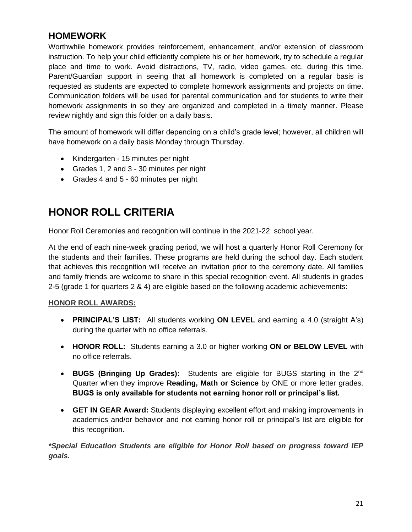### **HOMEWORK**

Worthwhile homework provides reinforcement, enhancement, and/or extension of classroom instruction. To help your child efficiently complete his or her homework, try to schedule a regular place and time to work. Avoid distractions, TV, radio, video games, etc. during this time. Parent/Guardian support in seeing that all homework is completed on a regular basis is requested as students are expected to complete homework assignments and projects on time. Communication folders will be used for parental communication and for students to write their homework assignments in so they are organized and completed in a timely manner. Please review nightly and sign this folder on a daily basis.

The amount of homework will differ depending on a child's grade level; however, all children will have homework on a daily basis Monday through Thursday.

- Kindergarten 15 minutes per night
- Grades 1, 2 and 3 30 minutes per night
- Grades 4 and 5 60 minutes per night

### **HONOR ROLL CRITERIA**

Honor Roll Ceremonies and recognition will continue in the 2021-22 school year.

At the end of each nine-week grading period, we will host a quarterly Honor Roll Ceremony for the students and their families. These programs are held during the school day. Each student that achieves this recognition will receive an invitation prior to the ceremony date. All families and family friends are welcome to share in this special recognition event. All students in grades 2-5 (grade 1 for quarters 2 & 4) are eligible based on the following academic achievements:

#### **HONOR ROLL AWARDS:**

- **PRINCIPAL'S LIST:** All students working **ON LEVEL** and earning a 4.0 (straight A's) during the quarter with no office referrals.
- **HONOR ROLL:** Students earning a 3.0 or higher working **ON or BELOW LEVEL** with no office referrals.
- **BUGS (Bringing Up Grades):** Students are eligible for BUGS starting in the 2nd Quarter when they improve **Reading, Math or Science** by ONE or more letter grades. **BUGS is only available for students not earning honor roll or principal's list.**
- **GET IN GEAR Award:** Students displaying excellent effort and making improvements in academics and/or behavior and not earning honor roll or principal's list are eligible for this recognition.

*\*Special Education Students are eligible for Honor Roll based on progress toward IEP goals.*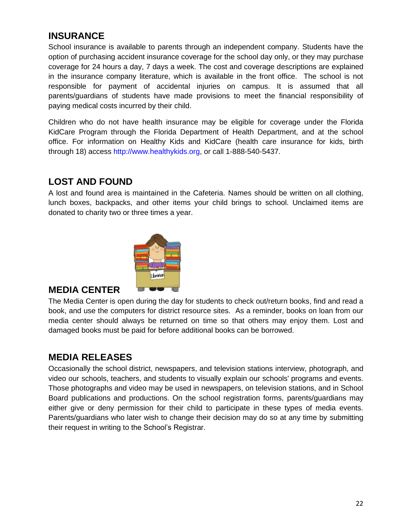### **INSURANCE**

School insurance is available to parents through an independent company. Students have the option of purchasing accident insurance coverage for the school day only, or they may purchase coverage for 24 hours a day, 7 days a week. The cost and coverage descriptions are explained in the insurance company literature, which is available in the front office. The school is not responsible for payment of accidental injuries on campus. It is assumed that all parents/guardians of students have made provisions to meet the financial responsibility of paying medical costs incurred by their child.

Children who do not have health insurance may be eligible for coverage under the Florida KidCare Program through the Florida Department of Health Department, and at the school office. For information on Healthy Kids and KidCare (health care insurance for kids, birth through 18) access http://www.healthykids.org, or call 1-888-540-5437.

### **LOST AND FOUND**

A lost and found area is maintained in the Cafeteria. Names should be written on all clothing, lunch boxes, backpacks, and other items your child brings to school. Unclaimed items are donated to charity two or three times a year.



#### **MEDIA CENTER**

The Media Center is open during the day for students to check out/return books, find and read a book, and use the computers for district resource sites. As a reminder, books on loan from our media center should always be returned on time so that others may enjoy them. Lost and damaged books must be paid for before additional books can be borrowed.

### **MEDIA RELEASES**

Occasionally the school district, newspapers, and television stations interview, photograph, and video our schools, teachers, and students to visually explain our schools' programs and events. Those photographs and video may be used in newspapers, on television stations, and in School Board publications and productions. On the school registration forms, parents/guardians may either give or deny permission for their child to participate in these types of media events. Parents/guardians who later wish to change their decision may do so at any time by submitting their request in writing to the School's Registrar.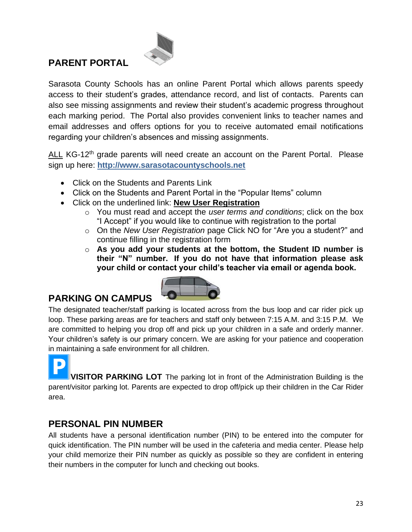### **PARENT PORTAL**



Sarasota County Schools has an online Parent Portal which allows parents speedy access to their student's grades, attendance record, and list of contacts. Parents can also see missing assignments and review their student's academic progress throughout each marking period. The Portal also provides convenient links to teacher names and email addresses and offers options for you to receive automated email notifications regarding your children's absences and missing assignments.

ALL KG-12<sup>th</sup> grade parents will need create an account on the Parent Portal. Please sign up here: **[http://www.sarasotacountyschools.net](http://www.sarasotacountyschools.net/)**

- Click on the Students and Parents Link
- Click on the Students and Parent Portal in the "Popular Items" column
- Click on the underlined link: **New User Registration**
	- o You must read and accept the *user terms and conditions*; click on the box "I Accept" if you would like to continue with registration to the portal
	- o On the *New User Registration* page Click NO for "Are you a student?" and continue filling in the registration form
	- o **As you add your students at the bottom, the Student ID number is their "N" number. If you do not have that information please ask your child or contact your child's teacher via email or agenda book.**



### **PARKING ON CAMPUS**

The designated teacher/staff parking is located across from the bus loop and car rider pick up loop. These parking areas are for teachers and staff only between 7:15 A.M. and 3:15 P.M. We are committed to helping you drop off and pick up your children in a safe and orderly manner. Your children's safety is our primary concern. We are asking for your patience and cooperation in maintaining a safe environment for all children.

**VISITOR PARKING LOT** The parking lot in front of the Administration Building is the parent/visitor parking lot. Parents are expected to drop off/pick up their children in the Car Rider area.

### **PERSONAL PIN NUMBER**

All students have a personal identification number (PIN) to be entered into the computer for quick identification. The PIN number will be used in the cafeteria and media center. Please help your child memorize their PIN number as quickly as possible so they are confident in entering their numbers in the computer for lunch and checking out books.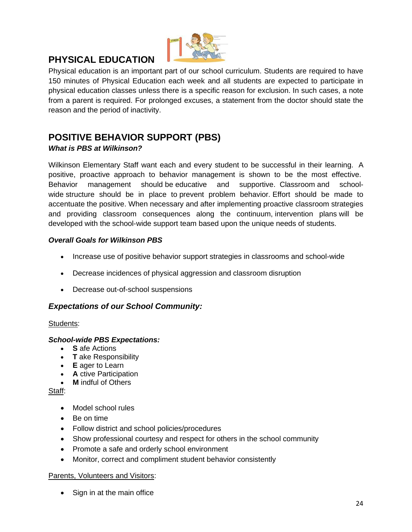

### **PHYSICAL EDUCATION**

Physical education is an important part of our school curriculum. Students are required to have 150 minutes of Physical Education each week and all students are expected to participate in physical education classes unless there is a specific reason for exclusion. In such cases, a note from a parent is required. For prolonged excuses, a statement from the doctor should state the reason and the period of inactivity.

### **POSITIVE BEHAVIOR SUPPORT (PBS)**

#### *What is PBS at Wilkinson?*

Wilkinson Elementary Staff want each and every student to be successful in their learning. A positive, proactive approach to behavior management is shown to be the most effective. Behavior management should be educative and supportive. Classroom and schoolwide structure should be in place to prevent problem behavior. Effort should be made to accentuate the positive. When necessary and after implementing proactive classroom strategies and providing classroom consequences along the continuum, intervention plans will be developed with the school-wide support team based upon the unique needs of students.

#### *Overall Goals for Wilkinson PBS*

- Increase use of positive behavior support strategies in classrooms and school-wide
- Decrease incidences of physical aggression and classroom disruption
- Decrease out-of-school suspensions

#### *Expectations of our School Community:*

#### Students:

#### *School-wide PBS Expectations:*

- **S** afe Actions
- **T** ake Responsibility
- **E** ager to Learn
- **A** ctive Participation
- **M** indful of Others

Staff:

- Model school rules
- Be on time
- Follow district and school policies/procedures
- Show professional courtesy and respect for others in the school community
- Promote a safe and orderly school environment
- Monitor, correct and compliment student behavior consistently

#### Parents, Volunteers and Visitors:

• Sign in at the main office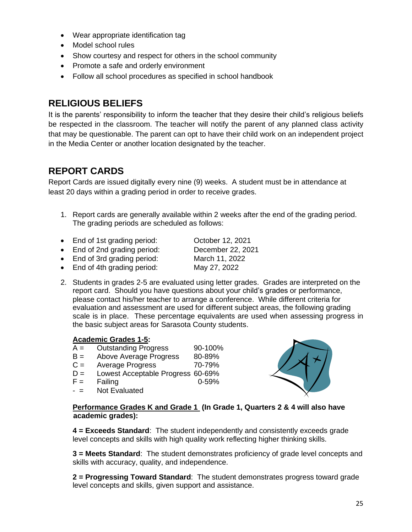- Wear appropriate identification tag
- Model school rules
- Show courtesy and respect for others in the school community
- Promote a safe and orderly environment
- Follow all school procedures as specified in school handbook

### **RELIGIOUS BELIEFS**

It is the parents' responsibility to inform the teacher that they desire their child's religious beliefs be respected in the classroom. The teacher will notify the parent of any planned class activity that may be questionable. The parent can opt to have their child work on an independent project in the Media Center or another location designated by the teacher.

### **REPORT CARDS**

Report Cards are issued digitally every nine (9) weeks. A student must be in attendance at least 20 days within a grading period in order to receive grades.

- 1. Report cards are generally available within 2 weeks after the end of the grading period. The grading periods are scheduled as follows:
- End of 1st grading period: Corober 12, 2021 • End of 2nd grading period: December 22, 2021
- 
- End of 3rd grading period: March 11, 2022
- End of 4th grading period: May 27, 2022
- 2. Students in grades 2-5 are evaluated using letter grades. Grades are interpreted on the report card. Should you have questions about your child's grades or performance, please contact his/her teacher to arrange a conference. While different criteria for evaluation and assessment are used for different subject areas, the following grading scale is in place. These percentage equivalents are used when assessing progress in the basic subject areas for Sarasota County students.

#### **Academic Grades 1-5:**

- $A =$  Outstanding Progress  $90-100\%$
- B = Above Average Progress 80-89%
- $C =$  Average Progress  $70-79\%$
- D = Lowest Acceptable Progress 60-69%
- $F =$  Failing 0-59%
- $-$  = Not Evaluated



**Performance Grades K and Grade 1 (In Grade 1, Quarters 2 & 4 will also have academic grades):**

**4 = Exceeds Standard**: The student independently and consistently exceeds grade level concepts and skills with high quality work reflecting higher thinking skills.

**3 = Meets Standard**: The student demonstrates proficiency of grade level concepts and skills with accuracy, quality, and independence.

**2 = Progressing Toward Standard**: The student demonstrates progress toward grade level concepts and skills, given support and assistance.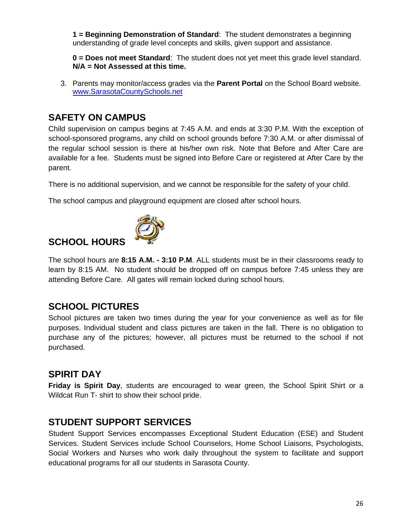**1 = Beginning Demonstration of Standard**: The student demonstrates a beginning understanding of grade level concepts and skills, given support and assistance.

**0 = Does not meet Standard**: The student does not yet meet this grade level standard. **N/A = Not Assessed at this time.**

3. Parents may monitor/access grades via the **Parent Portal** on the School Board website. [www.SarasotaCountySchools.net](http://www.sarasotacountyschools.net/) 

#### **SAFETY ON CAMPUS**

Child supervision on campus begins at 7:45 A.M. and ends at 3:30 P.M. With the exception of school-sponsored programs, any child on school grounds before 7:30 A.M. or after dismissal of the regular school session is there at his/her own risk. Note that Before and After Care are available for a fee. Students must be signed into Before Care or registered at After Care by the parent.

There is no additional supervision, and we cannot be responsible for the safety of your child.

The school campus and playground equipment are closed after school hours.

### **SCHOOL HOURS**



The school hours are **8:15 A.M. - 3:10 P.M**. ALL students must be in their classrooms ready to learn by 8:15 AM. No student should be dropped off on campus before 7:45 unless they are attending Before Care. All gates will remain locked during school hours.

### **SCHOOL PICTURES**

School pictures are taken two times during the year for your convenience as well as for file purposes. Individual student and class pictures are taken in the fall. There is no obligation to purchase any of the pictures; however, all pictures must be returned to the school if not purchased.

#### **SPIRIT DAY**

**Friday is Spirit Day**, students are encouraged to wear green, the School Spirit Shirt or a Wildcat Run T- shirt to show their school pride.

#### **STUDENT SUPPORT SERVICES**

Student Support Services encompasses Exceptional Student Education (ESE) and Student Services. Student Services include School Counselors, Home School Liaisons, Psychologists, Social Workers and Nurses who work daily throughout the system to facilitate and support educational programs for all our students in Sarasota County.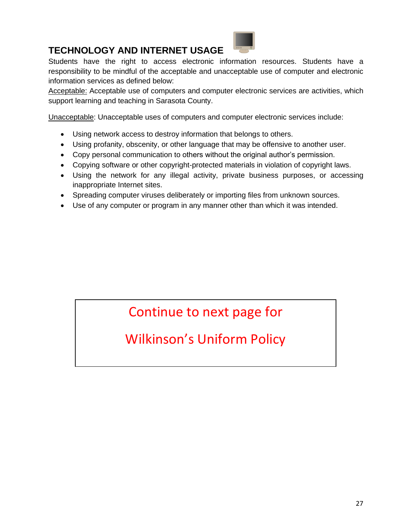### **TECHNOLOGY AND INTERNET USAGE**

Students have the right to access electronic information resources. Students have a responsibility to be mindful of the acceptable and unacceptable use of computer and electronic information services as defined below:

Acceptable: Acceptable use of computers and computer electronic services are activities, which support learning and teaching in Sarasota County.

Unacceptable: Unacceptable uses of computers and computer electronic services include:

- Using network access to destroy information that belongs to others.
- Using profanity, obscenity, or other language that may be offensive to another user.
- Copy personal communication to others without the original author's permission.
- Copying software or other copyright-protected materials in violation of copyright laws.
- Using the network for any illegal activity, private business purposes, or accessing inappropriate Internet sites.
- Spreading computer viruses deliberately or importing files from unknown sources.
- Use of any computer or program in any manner other than which it was intended.

# Continue to next page for

# Wilkinson's Uniform Policy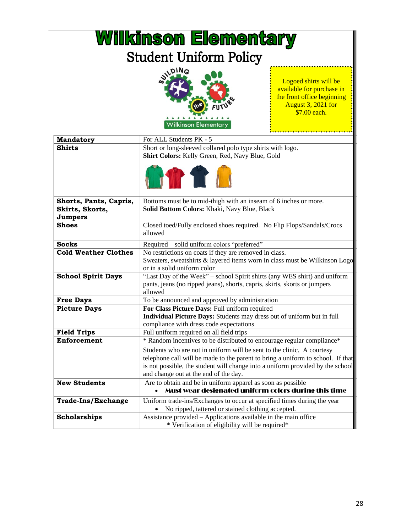| <b>Wilkinson Elementary</b>                          |                                                                                                                                                                                                                                                                                      |                                                                                                                               |  |  |
|------------------------------------------------------|--------------------------------------------------------------------------------------------------------------------------------------------------------------------------------------------------------------------------------------------------------------------------------------|-------------------------------------------------------------------------------------------------------------------------------|--|--|
| <b>Student Uniform Policy</b>                        |                                                                                                                                                                                                                                                                                      |                                                                                                                               |  |  |
|                                                      | <b>NIPING</b><br><b>Wilkinson Elementary</b>                                                                                                                                                                                                                                         | Logoed shirts will be<br>available for purchase in<br>the front office beginning<br><b>August 3, 2021 for</b><br>\$7.00 each. |  |  |
| <b>Mandatory</b>                                     | For ALL Students PK - 5                                                                                                                                                                                                                                                              |                                                                                                                               |  |  |
| Shirts                                               | Short or long-sleeved collared polo type shirts with logo.<br>Shirt Colors: Kelly Green, Red, Navy Blue, Gold<br><b>THE T</b>                                                                                                                                                        |                                                                                                                               |  |  |
| Shorts, Pants, Capris,<br>Skirts, Skorts,<br>Jumpers | Bottoms must be to mid-thigh with an inseam of 6 inches or more.<br>Solid Bottom Colors: Khaki, Navy Blue, Black                                                                                                                                                                     |                                                                                                                               |  |  |
| <b>Shoes</b>                                         | Closed toed/Fully enclosed shoes required. No Flip Flops/Sandals/Crocs<br>allowed                                                                                                                                                                                                    |                                                                                                                               |  |  |
| <b>Socks</b>                                         | Required-solid uniform colors "preferred"                                                                                                                                                                                                                                            |                                                                                                                               |  |  |
| <b>Cold Weather Clothes</b>                          | No restrictions on coats if they are removed in class.<br>Sweaters, sweatshirts & layered items worn in class must be Wilkinson Logo<br>or in a solid uniform color                                                                                                                  |                                                                                                                               |  |  |
| <b>School Spirit Days</b>                            | "Last Day of the Week" - school Spirit shirts (any WES shirt) and uniform<br>pants, jeans (no ripped jeans), shorts, capris, skirts, skorts or jumpers<br>allowed                                                                                                                    |                                                                                                                               |  |  |
| <b>Free Days</b>                                     | To be announced and approved by administration                                                                                                                                                                                                                                       |                                                                                                                               |  |  |
| <b>Picture Days</b>                                  | For Class Picture Days: Full uniform required<br>Individual Picture Days: Students may dress out of uniform but in full<br>compliance with dress code expectations                                                                                                                   |                                                                                                                               |  |  |
| <b>Field Trips</b>                                   | Full uniform required on all field trips                                                                                                                                                                                                                                             |                                                                                                                               |  |  |
| <b>Enforcement</b>                                   | * Random incentives to be distributed to encourage regular compliance*                                                                                                                                                                                                               |                                                                                                                               |  |  |
|                                                      | Students who are not in uniform will be sent to the clinic. A courtesy<br>telephone call will be made to the parent to bring a uniform to school. If that<br>is not possible, the student will change into a uniform provided by the school<br>and change out at the end of the day. |                                                                                                                               |  |  |
| <b>New Students</b>                                  | Are to obtain and be in uniform apparel as soon as possible                                                                                                                                                                                                                          |                                                                                                                               |  |  |
|                                                      | Must wear designated uniform colors during this time                                                                                                                                                                                                                                 |                                                                                                                               |  |  |
| <b>Trade-Ins/Exchange</b>                            | Uniform trade-ins/Exchanges to occur at specified times during the year<br>No ripped, tattered or stained clothing accepted.                                                                                                                                                         |                                                                                                                               |  |  |
| Scholarships                                         | Assistance provided - Applications available in the main office<br>* Verification of eligibility will be required*                                                                                                                                                                   |                                                                                                                               |  |  |